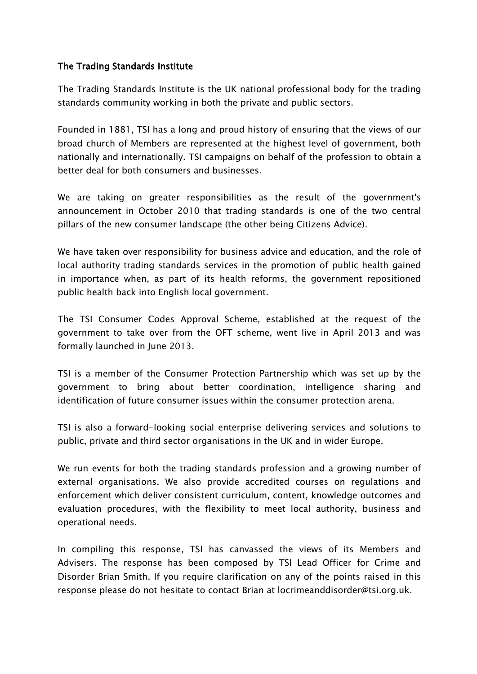#### The Trading Standards Institute

The Trading Standards Institute is the UK national professional body for the trading standards community working in both the private and public sectors.

Founded in 1881, TSI has a long and proud history of ensuring that the views of our broad church of Members are represented at the highest level of government, both nationally and internationally. TSI campaigns on behalf of the profession to obtain a better deal for both consumers and businesses.

We are taking on greater responsibilities as the result of the government's announcement in October 2010 that trading standards is one of the two central pillars of the new consumer landscape (the other being Citizens Advice).

We have taken over responsibility for business advice and education, and the role of local authority trading standards services in the promotion of public health gained in importance when, as part of its health reforms, the government repositioned public health back into English local government.

The TSI Consumer Codes Approval Scheme, established at the request of the government to take over from the OFT scheme, went live in April 2013 and was formally launched in June 2013.

TSI is a member of the Consumer Protection Partnership which was set up by the government to bring about better coordination, intelligence sharing and identification of future consumer issues within the consumer protection arena.

TSI is also a forward-looking social enterprise delivering services and solutions to public, private and third sector organisations in the UK and in wider Europe.

We run events for both the trading standards profession and a growing number of external organisations. We also provide accredited courses on regulations and enforcement which deliver consistent curriculum, content, knowledge outcomes and evaluation procedures, with the flexibility to meet local authority, business and operational needs.

In compiling this response, TSI has canvassed the views of its Members and Advisers. The response has been composed by TSI Lead Officer for Crime and Disorder Brian Smith. If you require clarification on any of the points raised in this response please do not hesitate to contact Brian at locrimeanddisorder@tsi.org.uk.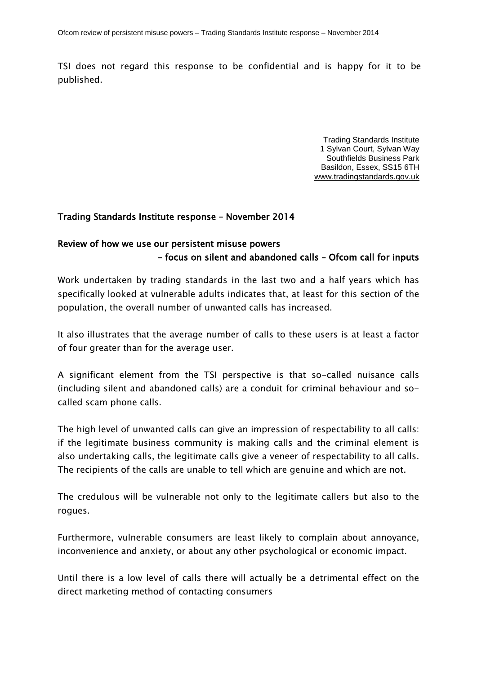TSI does not regard this response to be confidential and is happy for it to be published.

> Trading Standards Institute 1 Sylvan Court, Sylvan Way Southfields Business Park Basildon, Essex, SS15 6TH [www.tradingstandards.gov.uk](http://www.tradingstandards.gov.uk/)

#### Trading Standards Institute response – November 2014

#### Review of how we use our persistent misuse powers – focus on silent and abandoned calls – Ofcom call for inputs

Work undertaken by trading standards in the last two and a half years which has specifically looked at vulnerable adults indicates that, at least for this section of the population, the overall number of unwanted calls has increased.

It also illustrates that the average number of calls to these users is at least a factor of four greater than for the average user.

A significant element from the TSI perspective is that so-called nuisance calls (including silent and abandoned calls) are a conduit for criminal behaviour and socalled scam phone calls.

The high level of unwanted calls can give an impression of respectability to all calls: if the legitimate business community is making calls and the criminal element is also undertaking calls, the legitimate calls give a veneer of respectability to all calls. The recipients of the calls are unable to tell which are genuine and which are not.

The credulous will be vulnerable not only to the legitimate callers but also to the rogues.

Furthermore, vulnerable consumers are least likely to complain about annoyance, inconvenience and anxiety, or about any other psychological or economic impact.

Until there is a low level of calls there will actually be a detrimental effect on the direct marketing method of contacting consumers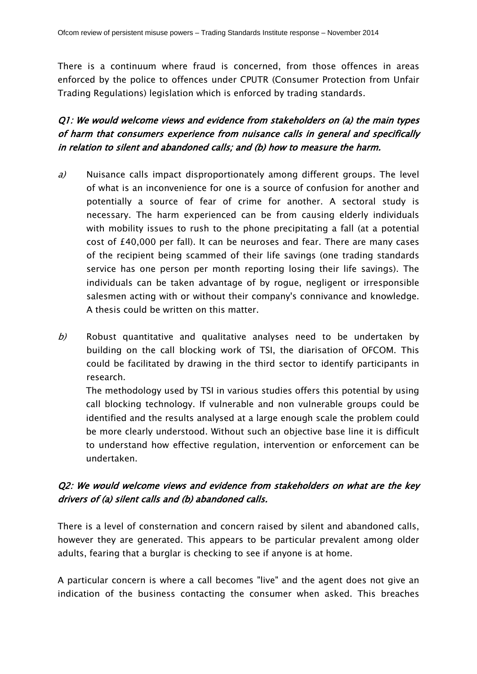There is a continuum where fraud is concerned, from those offences in areas enforced by the police to offences under CPUTR (Consumer Protection from Unfair Trading Regulations) legislation which is enforced by trading standards.

# Q1: We would welcome views and evidence from stakeholders on (a) the main types of harm that consumers experience from nuisance calls in general and specifically in relation to silent and abandoned calls; and (b) how to measure the harm.

- $a$ ) Nuisance calls impact disproportionately among different groups. The level of what is an inconvenience for one is a source of confusion for another and potentially a source of fear of crime for another. A sectoral study is necessary. The harm experienced can be from causing elderly individuals with mobility issues to rush to the phone precipitating a fall (at a potential cost of £40,000 per fall). It can be neuroses and fear. There are many cases of the recipient being scammed of their life savings (one trading standards service has one person per month reporting losing their life savings). The individuals can be taken advantage of by rogue, negligent or irresponsible salesmen acting with or without their company's connivance and knowledge. A thesis could be written on this matter.
- b) Robust quantitative and qualitative analyses need to be undertaken by building on the call blocking work of TSI, the diarisation of OFCOM. This could be facilitated by drawing in the third sector to identify participants in research.

The methodology used by TSI in various studies offers this potential by using call blocking technology. If vulnerable and non vulnerable groups could be identified and the results analysed at a large enough scale the problem could be more clearly understood. Without such an objective base line it is difficult to understand how effective regulation, intervention or enforcement can be undertaken.

### Q2: We would welcome views and evidence from stakeholders on what are the key drivers of (a) silent calls and (b) abandoned calls.

There is a level of consternation and concern raised by silent and abandoned calls, however they are generated. This appears to be particular prevalent among older adults, fearing that a burglar is checking to see if anyone is at home.

A particular concern is where a call becomes "live" and the agent does not give an indication of the business contacting the consumer when asked. This breaches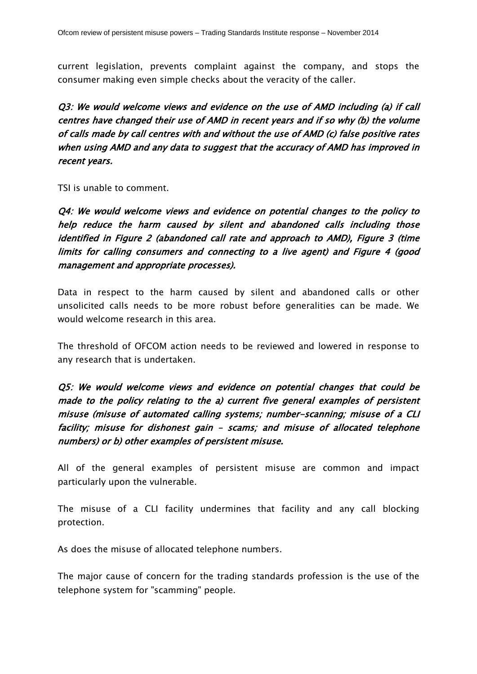current legislation, prevents complaint against the company, and stops the consumer making even simple checks about the veracity of the caller.

Q3: We would welcome views and evidence on the use of AMD including (a) if call centres have changed their use of AMD in recent years and if so why (b) the volume of calls made by call centres with and without the use of AMD (c) false positive rates when using AMD and any data to suggest that the accuracy of AMD has improved in recent years.

TSI is unable to comment.

Q4: We would welcome views and evidence on potential changes to the policy to help reduce the harm caused by silent and abandoned calls including those identified in Figure 2 (abandoned call rate and approach to AMD), Figure 3 (time limits for calling consumers and connecting to a live agent) and Figure 4 (good management and appropriate processes).

Data in respect to the harm caused by silent and abandoned calls or other unsolicited calls needs to be more robust before generalities can be made. We would welcome research in this area.

The threshold of OFCOM action needs to be reviewed and lowered in response to any research that is undertaken.

# Q5: We would welcome views and evidence on potential changes that could be made to the policy relating to the a) current five general examples of persistent misuse (misuse of automated calling systems; number-scanning; misuse of a CLI facility; misuse for dishonest gain – scams; and misuse of allocated telephone numbers) or b) other examples of persistent misuse.

All of the general examples of persistent misuse are common and impact particularly upon the vulnerable.

The misuse of a CLI facility undermines that facility and any call blocking protection.

As does the misuse of allocated telephone numbers.

The major cause of concern for the trading standards profession is the use of the telephone system for "scamming" people.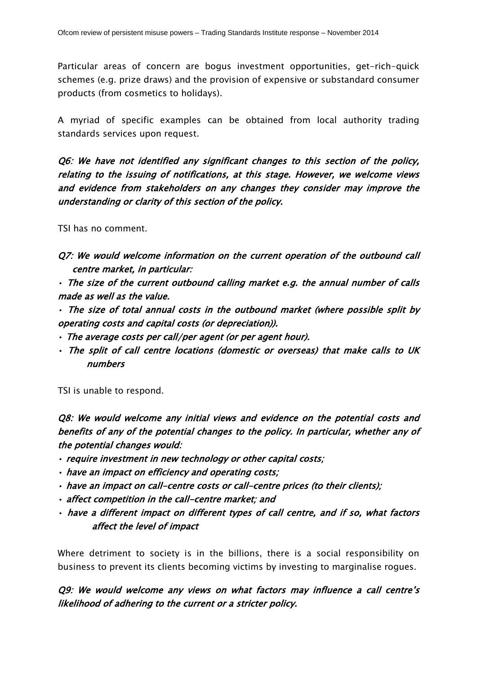Particular areas of concern are bogus investment opportunities, get-rich-quick schemes (e.g. prize draws) and the provision of expensive or substandard consumer products (from cosmetics to holidays).

A myriad of specific examples can be obtained from local authority trading standards services upon request.

Q6: We have not identified any significant changes to this section of the policy, relating to the issuing of notifications, at this stage. However, we welcome views and evidence from stakeholders on any changes they consider may improve the understanding or clarity of this section of the policy.

TSI has no comment.

- Q7: We would welcome information on the current operation of the outbound call centre market, in particular:
- The size of the current outbound calling market e.g. the annual number of calls made as well as the value.
- The size of total annual costs in the outbound market (where possible split by operating costs and capital costs (or depreciation)).
- The average costs per call/per agent (or per agent hour).
- The split of call centre locations (domestic or overseas) that make calls to UK numbers

TSI is unable to respond.

Q8: We would welcome any initial views and evidence on the potential costs and benefits of any of the potential changes to the policy. In particular, whether any of the potential changes would:

- require investment in new technology or other capital costs;
- have an impact on efficiency and operating costs;
- have an impact on call-centre costs or call-centre prices (to their clients);
- affect competition in the call-centre market; and
- have a different impact on different types of call centre, and if so, what factors affect the level of impact

Where detriment to society is in the billions, there is a social responsibility on business to prevent its clients becoming victims by investing to marginalise rogues.

Q9: We would welcome any views on what factors may influence a call centre's likelihood of adhering to the current or a stricter policy.